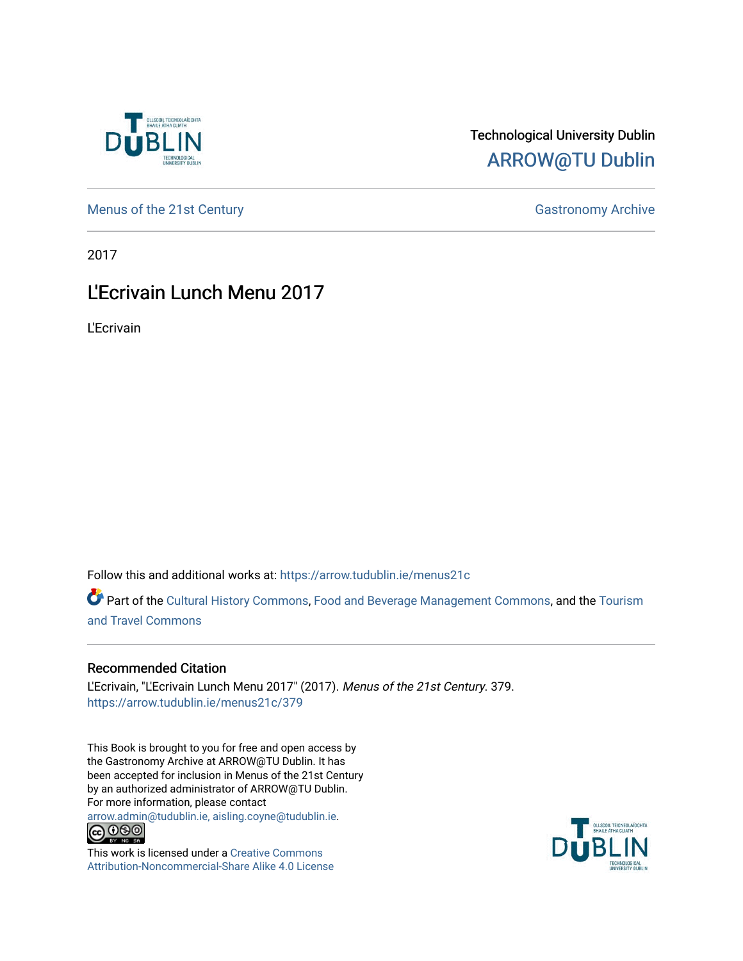

## Technological University Dublin [ARROW@TU Dublin](https://arrow.tudublin.ie/)

[Menus of the 21st Century](https://arrow.tudublin.ie/menus21c) Gastronomy Archive

2017

## L'Ecrivain Lunch Menu 2017

L'Ecrivain

Follow this and additional works at: [https://arrow.tudublin.ie/menus21c](https://arrow.tudublin.ie/menus21c?utm_source=arrow.tudublin.ie%2Fmenus21c%2F379&utm_medium=PDF&utm_campaign=PDFCoverPages) 

Part of the [Cultural History Commons](http://network.bepress.com/hgg/discipline/496?utm_source=arrow.tudublin.ie%2Fmenus21c%2F379&utm_medium=PDF&utm_campaign=PDFCoverPages), [Food and Beverage Management Commons,](http://network.bepress.com/hgg/discipline/1089?utm_source=arrow.tudublin.ie%2Fmenus21c%2F379&utm_medium=PDF&utm_campaign=PDFCoverPages) and the [Tourism](http://network.bepress.com/hgg/discipline/1082?utm_source=arrow.tudublin.ie%2Fmenus21c%2F379&utm_medium=PDF&utm_campaign=PDFCoverPages) [and Travel Commons](http://network.bepress.com/hgg/discipline/1082?utm_source=arrow.tudublin.ie%2Fmenus21c%2F379&utm_medium=PDF&utm_campaign=PDFCoverPages)

## Recommended Citation

L'Ecrivain, "L'Ecrivain Lunch Menu 2017" (2017). Menus of the 21st Century. 379. [https://arrow.tudublin.ie/menus21c/379](https://arrow.tudublin.ie/menus21c/379?utm_source=arrow.tudublin.ie%2Fmenus21c%2F379&utm_medium=PDF&utm_campaign=PDFCoverPages) 

This Book is brought to you for free and open access by the Gastronomy Archive at ARROW@TU Dublin. It has been accepted for inclusion in Menus of the 21st Century by an authorized administrator of ARROW@TU Dublin. For more information, please contact

[arrow.admin@tudublin.ie, aisling.coyne@tudublin.ie](mailto:arrow.admin@tudublin.ie,%20aisling.coyne@tudublin.ie).<br>
© 090



This work is licensed under a [Creative Commons](http://creativecommons.org/licenses/by-nc-sa/4.0/) [Attribution-Noncommercial-Share Alike 4.0 License](http://creativecommons.org/licenses/by-nc-sa/4.0/)